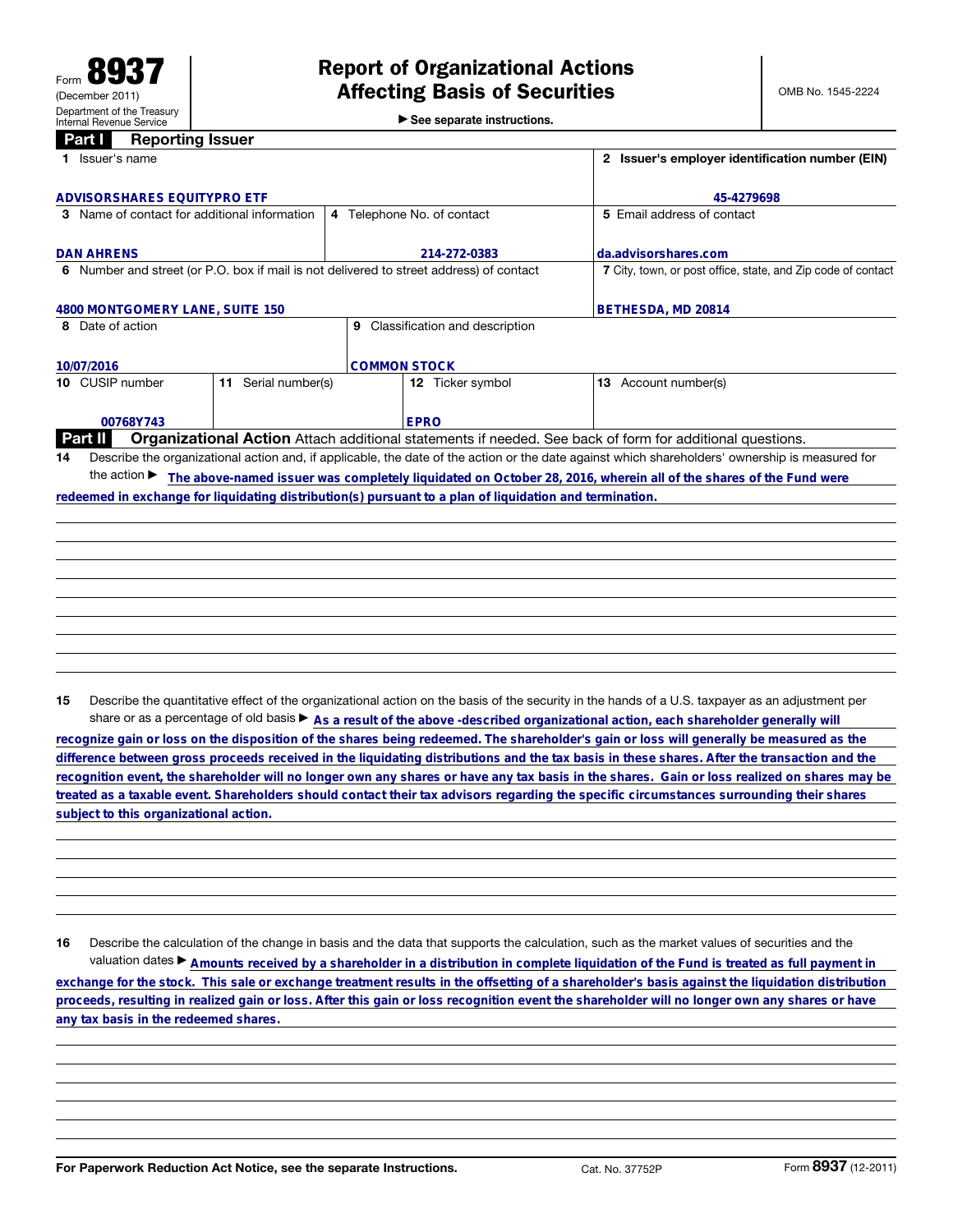▶ See separate instructions.

## **Part I** Reporting Issuer

|                                                                                                                            | 1 Issuer's name                                                                                                                                      | 2 Issuer's employer identification number (EIN) |                                                              |                            |  |
|----------------------------------------------------------------------------------------------------------------------------|------------------------------------------------------------------------------------------------------------------------------------------------------|-------------------------------------------------|--------------------------------------------------------------|----------------------------|--|
| <b>ADVISORSHARES EQUITYPRO ETF</b>                                                                                         |                                                                                                                                                      |                                                 |                                                              | 45-4279698                 |  |
|                                                                                                                            | 3 Name of contact for additional information                                                                                                         |                                                 | 4 Telephone No. of contact                                   | 5 Email address of contact |  |
|                                                                                                                            | <b>DAN AHRENS</b>                                                                                                                                    | 214-272-0383                                    |                                                              | da.advisorshares.com       |  |
| 6 Number and street (or P.O. box if mail is not delivered to street address) of contact                                    |                                                                                                                                                      |                                                 | 7 City, town, or post office, state, and Zip code of contact |                            |  |
| 4800 MONTGOMERY LANE, SUITE 150                                                                                            |                                                                                                                                                      |                                                 |                                                              | BETHESDA, MD 20814         |  |
|                                                                                                                            | 8 Date of action<br>Classification and description<br>9                                                                                              |                                                 |                                                              |                            |  |
| <b>COMMON STOCK</b><br>10/07/2016                                                                                          |                                                                                                                                                      |                                                 |                                                              |                            |  |
|                                                                                                                            | 10 CUSIP number<br>Serial number(s)<br>11                                                                                                            |                                                 | 12 Ticker symbol                                             | Account number(s)<br>13    |  |
|                                                                                                                            | 00768Y743                                                                                                                                            |                                                 | <b>EPRO</b>                                                  |                            |  |
| <b>Part II</b><br>Organizational Action Attach additional statements if needed. See back of form for additional questions. |                                                                                                                                                      |                                                 |                                                              |                            |  |
| 14                                                                                                                         | Describe the organizational action and, if applicable, the date of the action or the date against which shareholders' ownership is measured for      |                                                 |                                                              |                            |  |
|                                                                                                                            | the action $\blacktriangleright$<br>The above-named issuer was completely liquidated on October 28, 2016, wherein all of the shares of the Fund were |                                                 |                                                              |                            |  |
|                                                                                                                            | redeemed in exchange for liquidating distribution(s) pursuant to a plan of liquidation and termination.                                              |                                                 |                                                              |                            |  |
|                                                                                                                            |                                                                                                                                                      |                                                 |                                                              |                            |  |
|                                                                                                                            |                                                                                                                                                      |                                                 |                                                              |                            |  |
|                                                                                                                            |                                                                                                                                                      |                                                 |                                                              |                            |  |
|                                                                                                                            |                                                                                                                                                      |                                                 |                                                              |                            |  |

15 Describe the quantitative effect of the organizational action on the basis of the security in the hands of a U.S. taxpayer as an adjustment per

share or as a percentage of old basis ► As a result of the above -described organizational action, each shareholder generally will<br>The share holder's gain or loss will generally be measured as the recognize gain or loss w **difference between gross proceeds received in the liquidating distributions and the tax basis in these shares. After the transaction and the recognition event, the shareholder will no longer own any shares or have any tax basis in the shares. Gain or loss realized on shares may be treated as a taxable event. Shareholders should contact their tax advisors regarding the specific circumstances surrounding their shares subject to this organizational action.**

16 Describe the calculation of the change in basis and the data that supports the calculation, such as the market values of securities and the valuation dates ▶ **Amounts received by a shareholder in a distribution in complete liquidation of the Fund is treated as full payment in exchange for the stock. This sale or exchange treatment results in the offsetting of a shareholder's basis against the liquidation distribution proceeds, resulting in realized gain or loss. After this gain or loss recognition event the shareholder will no longer own any shares or have any tax basis in the redeemed shares.**